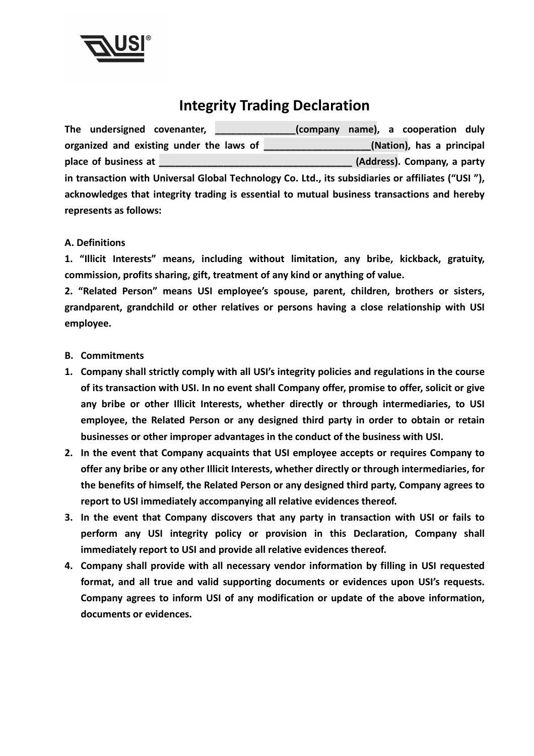

## **Integrity Trading Declaration**

The undersigned covenanter, **the undersigned covenanter,** (company name), a cooperation duly **organized and existing under the laws of \_\_\_\_\_\_\_\_\_\_\_\_\_\_\_\_\_\_\_\_(Nation), has a principal place of business at place of business at**  *place of business* a *place of business* at *place of business* at *place of business* at *place of business* at *place of business* at *place of business* at **in transaction with Universal Global Technology Co. Ltd., its subsidiaries or affiliates ("USI "), acknowledges that integrity trading is essential to mutual business transactions and hereby represents as follows:** 

## **A. Definitions**

**1. "Illicit Interests" means, including without limitation, any bribe, kickback, gratuity, commission, profits sharing, gift, treatment of any kind or anything of value.** 

**2. "Related Person" means USI employee's spouse, parent, children, brothers or sisters, grandparent, grandchild or other relatives or persons having a close relationship with USI employee.** 

## **B. Commitments**

- **1. Company shall strictly comply with all USI's integrity policies and regulations in the course of its transaction with USI. In no event shall Company offer, promise to offer, solicit or give any bribe or other Illicit Interests, whether directly or through intermediaries, to USI employee, the Related Person or any designed third party in order to obtain or retain businesses or other improper advantages in the conduct of the business with USI.**
- **2. In the event that Company acquaints that USI employee accepts or requires Company to offer any bribe or any other Illicit Interests, whether directly or through intermediaries, for the benefits of himself, the Related Person or any designed third party, Company agrees to report to USI immediately accompanying all relative evidences thereof.**
- **3. In the event that Company discovers that any party in transaction with USI or fails to perform any USI integrity policy or provision in this Declaration, Company shall immediately report to USI and provide all relative evidences thereof.**
- **4. Company shall provide with all necessary vendor information by filling in USI requested format, and all true and valid supporting documents or evidences upon USI's requests. Company agrees to inform USI of any modification or update of the above information, documents or evidences.**